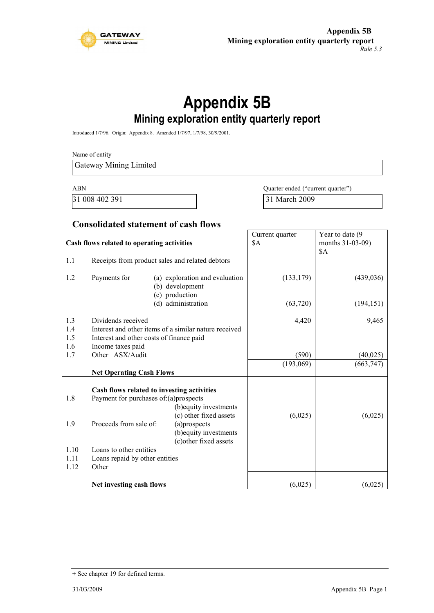

# **Appendix 5B Mining exploration entity quarterly report**

Introduced 1/7/96. Origin: Appendix 8. Amended 1/7/97, 1/7/98, 30/9/2001.

Name of entity Gateway Mining Limited ABN Quarter ended ("current quarter")

31 008 402 391 31 March 2009

#### **Consolidated statement of cash flows**

| Cash flows related to operating activities |                                                                                                                                       | Current quarter<br>\$A                                                                                                                                             | Year to date (9)<br>months 31-03-09)<br>\$A |                         |
|--------------------------------------------|---------------------------------------------------------------------------------------------------------------------------------------|--------------------------------------------------------------------------------------------------------------------------------------------------------------------|---------------------------------------------|-------------------------|
| 1.1                                        |                                                                                                                                       | Receipts from product sales and related debtors                                                                                                                    |                                             |                         |
| 1.2                                        | Payments for                                                                                                                          | (a) exploration and evaluation<br>(b) development<br>(c) production                                                                                                | (133, 179)                                  | (439, 036)              |
|                                            |                                                                                                                                       | (d) administration                                                                                                                                                 | (63, 720)                                   | (194, 151)              |
| 1.3<br>1.4<br>1.5                          | Dividends received<br>Interest and other items of a similar nature received<br>Interest and other costs of finance paid               |                                                                                                                                                                    | 4,420                                       | 9,465                   |
| 1.6<br>1.7                                 | Income taxes paid<br>Other ASX/Audit                                                                                                  |                                                                                                                                                                    | (590)                                       |                         |
|                                            |                                                                                                                                       |                                                                                                                                                                    | (193,069)                                   | (40, 025)<br>(663, 747) |
|                                            | <b>Net Operating Cash Flows</b>                                                                                                       |                                                                                                                                                                    |                                             |                         |
| 1.8<br>1.9<br>1.10<br>1.11<br>1.12         | Payment for purchases of:(a)prospects<br>Proceeds from sale of:<br>Loans to other entities<br>Loans repaid by other entities<br>Other | Cash flows related to investing activities<br>(b) equity investments<br>(c) other fixed assets<br>(a)prospects<br>(b) equity investments<br>(c) other fixed assets | (6,025)                                     | (6,025)                 |
|                                            | Net investing cash flows                                                                                                              |                                                                                                                                                                    | (6,025)                                     | (6,025)                 |

<sup>+</sup> See chapter 19 for defined terms.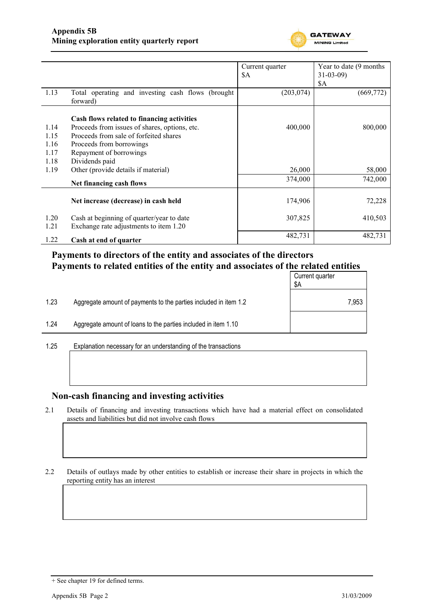

|      |                                                   | Current quarter | Year to date (9 months) |
|------|---------------------------------------------------|-----------------|-------------------------|
|      |                                                   | \$A             | $31 - 03 - 09$          |
|      |                                                   |                 | <b>\$A</b>              |
| 1.13 | Total operating and investing cash flows (brought | (203, 074)      | (669, 772)              |
|      | forward)                                          |                 |                         |
|      |                                                   |                 |                         |
|      | Cash flows related to financing activities        |                 |                         |
| 1.14 | Proceeds from issues of shares, options, etc.     | 400,000         | 800,000                 |
| 1.15 | Proceeds from sale of forfeited shares            |                 |                         |
| 1.16 | Proceeds from borrowings                          |                 |                         |
| 1.17 | Repayment of borrowings                           |                 |                         |
| 1.18 | Dividends paid                                    |                 |                         |
| 1.19 | Other (provide details if material)               | 26,000          | 58,000                  |
|      | Net financing cash flows                          | 374,000         | 742,000                 |
|      |                                                   |                 |                         |
|      | Net increase (decrease) in cash held              | 174,906         | 72,228                  |
| 1.20 | Cash at beginning of quarter/year to date         | 307,825         | 410,503                 |
| 1.21 | Exchange rate adjustments to item 1.20            |                 |                         |
| 1.22 | Cash at end of quarter                            | 482,731         | 482,731                 |
|      |                                                   |                 |                         |

### **Payments to directors of the entity and associates of the directors Payments to related entities of the entity and associates of the related entities**

|                      |                                                                  | Current quarter<br>\$Α |
|----------------------|------------------------------------------------------------------|------------------------|
| 1.23                 | Aggregate amount of payments to the parties included in item 1.2 | 7,953                  |
| 1.24                 | Aggregate amount of loans to the parties included in item 1.10   |                        |
| $\sim$ $\sim$ $\sim$ |                                                                  |                        |

1.25 Explanation necessary for an understanding of the transactions

### **Non-cash financing and investing activities**

2.1 Details of financing and investing transactions which have had a material effect on consolidated assets and liabilities but did not involve cash flows

2.2 Details of outlays made by other entities to establish or increase their share in projects in which the reporting entity has an interest

<sup>+</sup> See chapter 19 for defined terms.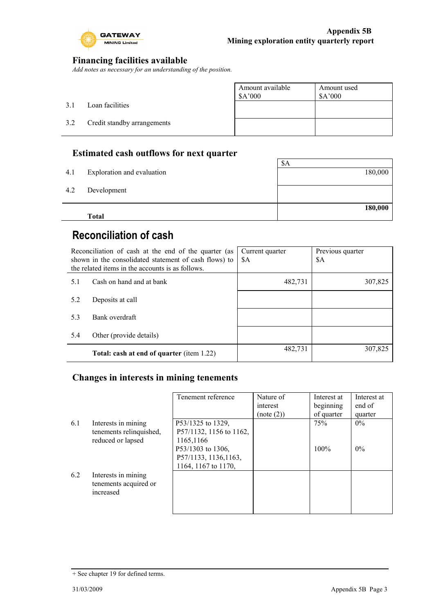

### **Financing facilities available**

*Add notes as necessary for an understanding of the position.*

|     |                             | Amount available<br>\$A'000 | Amount used<br>\$A'000 |
|-----|-----------------------------|-----------------------------|------------------------|
| 3.1 | Loan facilities             |                             |                        |
| 3.2 | Credit standby arrangements |                             |                        |
|     |                             |                             |                        |

### **Estimated cash outflows for next quarter**

|     | <b>Total</b>               |         |
|-----|----------------------------|---------|
|     |                            | 180,000 |
| 4.2 | Development                |         |
|     |                            |         |
| 4.1 | Exploration and evaluation | 180,000 |
|     |                            | \$A     |

# **Reconciliation of cash**

| Reconciliation of cash at the end of the quarter (as<br>shown in the consolidated statement of cash flows) to<br>the related items in the accounts is as follows. |                                           | Current quarter<br>\$A | Previous quarter<br>\$A |
|-------------------------------------------------------------------------------------------------------------------------------------------------------------------|-------------------------------------------|------------------------|-------------------------|
| 5.1                                                                                                                                                               | Cash on hand and at bank                  | 482,731                | 307,825                 |
| 5.2                                                                                                                                                               | Deposits at call                          |                        |                         |
| 5.3                                                                                                                                                               | Bank overdraft                            |                        |                         |
| 5.4                                                                                                                                                               | Other (provide details)                   |                        |                         |
|                                                                                                                                                                   | Total: cash at end of quarter (item 1.22) | 482,731                | 307,825                 |

### **Changes in interests in mining tenements**

|     |                                                                     | Tenement reference                                                | Nature of<br>interest<br>(note (2)) | Interest at<br>beginning<br>of quarter | Interest at<br>end of<br>quarter |
|-----|---------------------------------------------------------------------|-------------------------------------------------------------------|-------------------------------------|----------------------------------------|----------------------------------|
| 6.1 | Interests in mining<br>tenements relinquished,<br>reduced or lapsed | P53/1325 to 1329,<br>P57/1132, 1156 to 1162,<br>1165,1166         |                                     | 75%                                    | $0\%$                            |
|     |                                                                     | P53/1303 to 1306,<br>P57/1133, 1136, 1163,<br>1164, 1167 to 1170, |                                     | 100%                                   | $0\%$                            |
| 6.2 | Interests in mining<br>tenements acquired or<br>increased           |                                                                   |                                     |                                        |                                  |

<sup>+</sup> See chapter 19 for defined terms.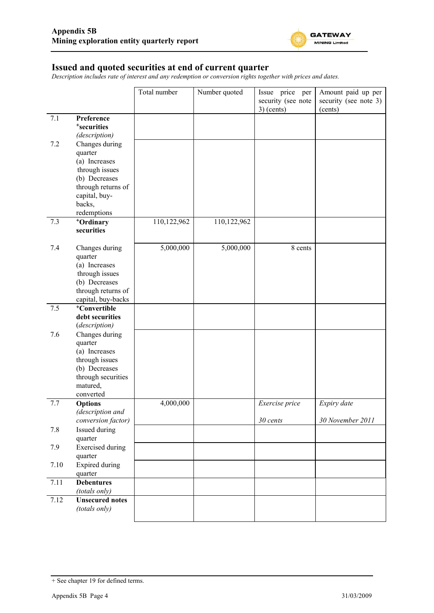

#### **Issued and quoted securities at end of current quarter**

*Description includes rate of interest and any redemption or conversion rights together with prices and dates.*

|      |                                    | Total number | Number quoted | Issue price per<br>security (see note | Amount paid up per<br>security (see note 3) |
|------|------------------------------------|--------------|---------------|---------------------------------------|---------------------------------------------|
|      |                                    |              |               | $3)$ (cents)                          | (cents)                                     |
| 7.1  | Preference                         |              |               |                                       |                                             |
|      | <sup>+</sup> securities            |              |               |                                       |                                             |
|      | (description)                      |              |               |                                       |                                             |
| 7.2  | Changes during                     |              |               |                                       |                                             |
|      | quarter                            |              |               |                                       |                                             |
|      | (a) Increases<br>through issues    |              |               |                                       |                                             |
|      | (b) Decreases                      |              |               |                                       |                                             |
|      | through returns of                 |              |               |                                       |                                             |
|      | capital, buy-                      |              |               |                                       |                                             |
|      | backs,                             |              |               |                                       |                                             |
|      | redemptions                        |              |               |                                       |                                             |
| 7.3  | +Ordinary                          | 110,122,962  | 110,122,962   |                                       |                                             |
|      | securities                         |              |               |                                       |                                             |
| 7.4  | Changes during                     | 5,000,000    | 5,000,000     | 8 cents                               |                                             |
|      | quarter                            |              |               |                                       |                                             |
|      | (a) Increases                      |              |               |                                       |                                             |
|      | through issues                     |              |               |                                       |                                             |
|      | (b) Decreases                      |              |               |                                       |                                             |
|      | through returns of                 |              |               |                                       |                                             |
|      | capital, buy-backs                 |              |               |                                       |                                             |
| 7.5  | <sup>+</sup> Convertible           |              |               |                                       |                                             |
|      | debt securities<br>(description)   |              |               |                                       |                                             |
| 7.6  | Changes during                     |              |               |                                       |                                             |
|      | quarter                            |              |               |                                       |                                             |
|      | (a) Increases                      |              |               |                                       |                                             |
|      | through issues                     |              |               |                                       |                                             |
|      | (b) Decreases                      |              |               |                                       |                                             |
|      | through securities                 |              |               |                                       |                                             |
|      | matured,                           |              |               |                                       |                                             |
|      | converted                          |              |               |                                       |                                             |
| 7.7  | <b>Options</b><br>(description and | 4,000,000    |               | Exercise price                        | Expiry date                                 |
|      | conversion factor)                 |              |               | 30 cents                              | 30 November 2011                            |
| 7.8  | Issued during                      |              |               |                                       |                                             |
|      | quarter                            |              |               |                                       |                                             |
| 7.9  | <b>Exercised</b> during            |              |               |                                       |                                             |
|      | quarter                            |              |               |                                       |                                             |
| 7.10 | <b>Expired during</b>              |              |               |                                       |                                             |
|      | quarter                            |              |               |                                       |                                             |
| 7.11 | <b>Debentures</b><br>(totals only) |              |               |                                       |                                             |
| 7.12 | <b>Unsecured notes</b>             |              |               |                                       |                                             |
|      | (totals only)                      |              |               |                                       |                                             |
|      |                                    |              |               |                                       |                                             |

<sup>+</sup> See chapter 19 for defined terms.